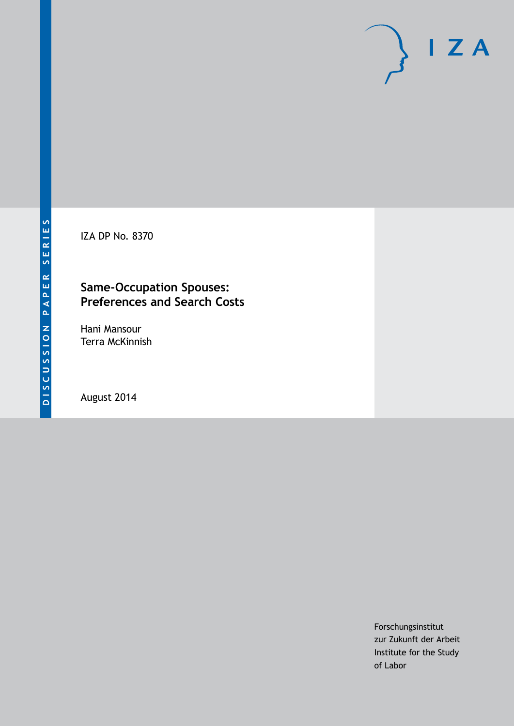IZA DP No. 8370

### **Same-Occupation Spouses: Preferences and Search Costs**

Hani Mansour Terra McKinnish

August 2014

Forschungsinstitut zur Zukunft der Arbeit Institute for the Study of Labor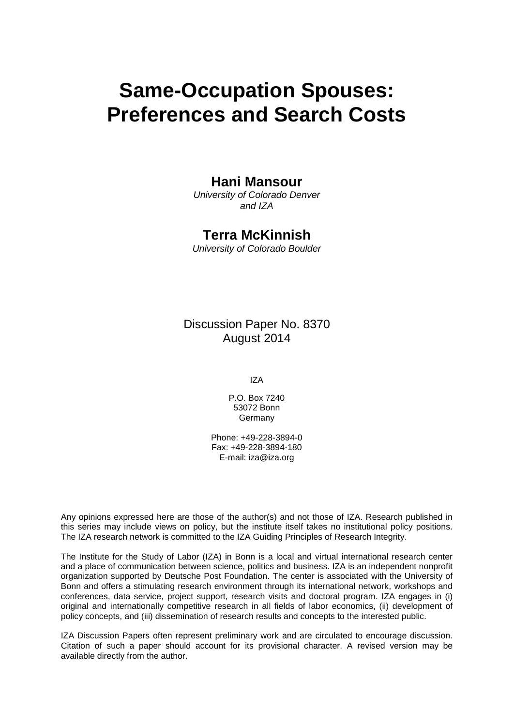# **Same-Occupation Spouses: Preferences and Search Costs**

### **Hani Mansour**

*University of Colorado Denver and IZA*

## **Terra McKinnish**

*University of Colorado Boulder*

Discussion Paper No. 8370 August 2014

IZA

P.O. Box 7240 53072 Bonn Germany

Phone: +49-228-3894-0 Fax: +49-228-3894-180 E-mail: [iza@iza.org](mailto:iza@iza.org)

Any opinions expressed here are those of the author(s) and not those of IZA. Research published in this series may include views on policy, but the institute itself takes no institutional policy positions. The IZA research network is committed to the IZA Guiding Principles of Research Integrity.

The Institute for the Study of Labor (IZA) in Bonn is a local and virtual international research center and a place of communication between science, politics and business. IZA is an independent nonprofit organization supported by Deutsche Post Foundation. The center is associated with the University of Bonn and offers a stimulating research environment through its international network, workshops and conferences, data service, project support, research visits and doctoral program. IZA engages in (i) original and internationally competitive research in all fields of labor economics, (ii) development of policy concepts, and (iii) dissemination of research results and concepts to the interested public.

<span id="page-1-0"></span>IZA Discussion Papers often represent preliminary work and are circulated to encourage discussion. Citation of such a paper should account for its provisional character. A revised version may be available directly from the author.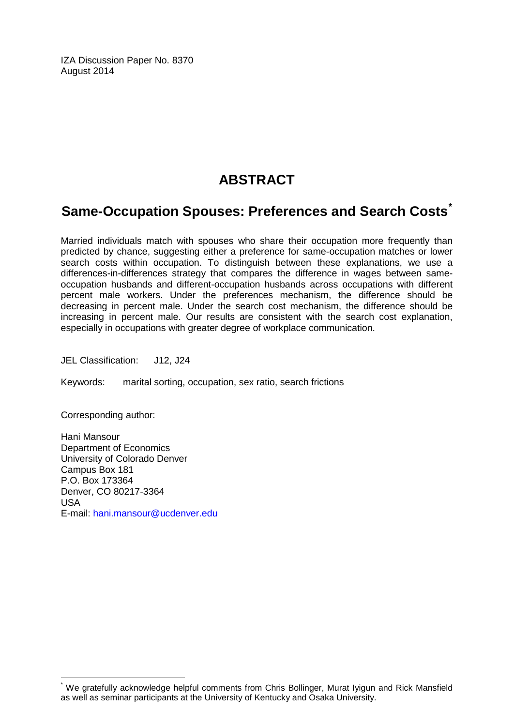IZA Discussion Paper No. 8370 August 2014

# **ABSTRACT**

# **Same-Occupation Spouses: Preferences and Search Costs[\\*](#page-1-0)**

Married individuals match with spouses who share their occupation more frequently than predicted by chance, suggesting either a preference for same-occupation matches or lower search costs within occupation. To distinguish between these explanations, we use a differences-in-differences strategy that compares the difference in wages between sameoccupation husbands and different-occupation husbands across occupations with different percent male workers. Under the preferences mechanism, the difference should be decreasing in percent male. Under the search cost mechanism, the difference should be increasing in percent male. Our results are consistent with the search cost explanation, especially in occupations with greater degree of workplace communication.

JEL Classification: J12, J24

Keywords: marital sorting, occupation, sex ratio, search frictions

Corresponding author:

Hani Mansour Department of Economics University of Colorado Denver Campus Box 181 P.O. Box 173364 Denver, CO 80217-3364 USA E-mail: [hani.mansour@ucdenver.edu](mailto:hani.mansour@ucdenver.edu)

We gratefully acknowledge helpful comments from Chris Bollinger, Murat Iyigun and Rick Mansfield as well as seminar participants at the University of Kentucky and Osaka University.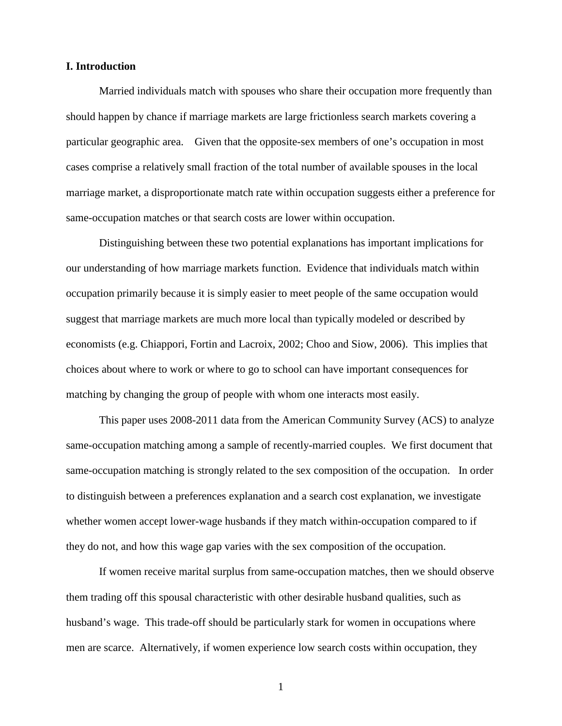#### **I. Introduction**

Married individuals match with spouses who share their occupation more frequently than should happen by chance if marriage markets are large frictionless search markets covering a particular geographic area. Given that the opposite-sex members of one's occupation in most cases comprise a relatively small fraction of the total number of available spouses in the local marriage market, a disproportionate match rate within occupation suggests either a preference for same-occupation matches or that search costs are lower within occupation.

Distinguishing between these two potential explanations has important implications for our understanding of how marriage markets function. Evidence that individuals match within occupation primarily because it is simply easier to meet people of the same occupation would suggest that marriage markets are much more local than typically modeled or described by economists (e.g. Chiappori, Fortin and Lacroix, 2002; Choo and Siow, 2006). This implies that choices about where to work or where to go to school can have important consequences for matching by changing the group of people with whom one interacts most easily.

This paper uses 2008-2011 data from the American Community Survey (ACS) to analyze same-occupation matching among a sample of recently-married couples. We first document that same-occupation matching is strongly related to the sex composition of the occupation. In order to distinguish between a preferences explanation and a search cost explanation, we investigate whether women accept lower-wage husbands if they match within-occupation compared to if they do not, and how this wage gap varies with the sex composition of the occupation.

If women receive marital surplus from same-occupation matches, then we should observe them trading off this spousal characteristic with other desirable husband qualities, such as husband's wage. This trade-off should be particularly stark for women in occupations where men are scarce. Alternatively, if women experience low search costs within occupation, they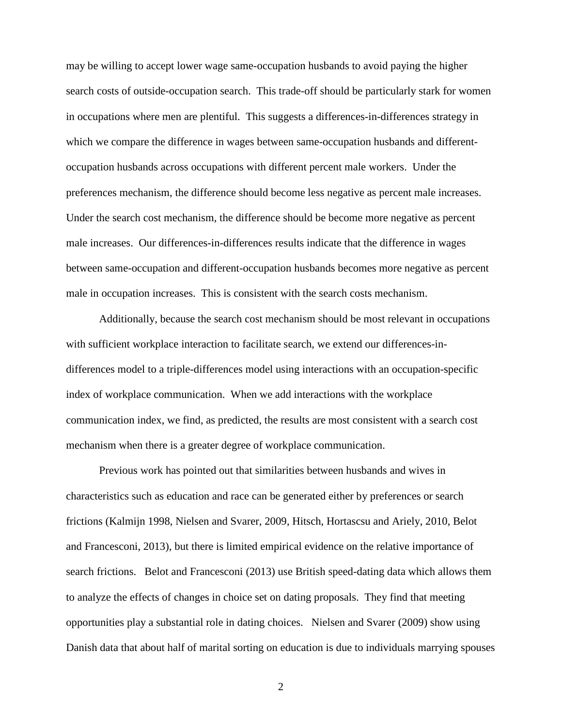may be willing to accept lower wage same-occupation husbands to avoid paying the higher search costs of outside-occupation search. This trade-off should be particularly stark for women in occupations where men are plentiful. This suggests a differences-in-differences strategy in which we compare the difference in wages between same-occupation husbands and differentoccupation husbands across occupations with different percent male workers. Under the preferences mechanism, the difference should become less negative as percent male increases. Under the search cost mechanism, the difference should be become more negative as percent male increases. Our differences-in-differences results indicate that the difference in wages between same-occupation and different-occupation husbands becomes more negative as percent male in occupation increases. This is consistent with the search costs mechanism.

Additionally, because the search cost mechanism should be most relevant in occupations with sufficient workplace interaction to facilitate search, we extend our differences-indifferences model to a triple-differences model using interactions with an occupation-specific index of workplace communication. When we add interactions with the workplace communication index, we find, as predicted, the results are most consistent with a search cost mechanism when there is a greater degree of workplace communication.

Previous work has pointed out that similarities between husbands and wives in characteristics such as education and race can be generated either by preferences or search frictions (Kalmijn 1998, Nielsen and Svarer, 2009, Hitsch, Hortascsu and Ariely, 2010, Belot and Francesconi, 2013), but there is limited empirical evidence on the relative importance of search frictions. Belot and Francesconi (2013) use British speed-dating data which allows them to analyze the effects of changes in choice set on dating proposals. They find that meeting opportunities play a substantial role in dating choices. Nielsen and Svarer (2009) show using Danish data that about half of marital sorting on education is due to individuals marrying spouses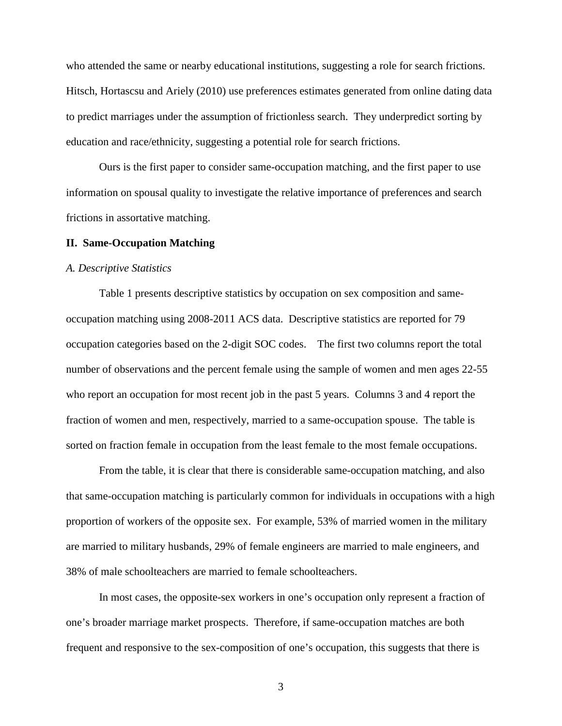who attended the same or nearby educational institutions, suggesting a role for search frictions. Hitsch, Hortascsu and Ariely (2010) use preferences estimates generated from online dating data to predict marriages under the assumption of frictionless search. They underpredict sorting by education and race/ethnicity, suggesting a potential role for search frictions.

Ours is the first paper to consider same-occupation matching, and the first paper to use information on spousal quality to investigate the relative importance of preferences and search frictions in assortative matching.

#### **II. Same-Occupation Matching**

#### *A. Descriptive Statistics*

Table 1 presents descriptive statistics by occupation on sex composition and sameoccupation matching using 2008-2011 ACS data. Descriptive statistics are reported for 79 occupation categories based on the 2-digit SOC codes. The first two columns report the total number of observations and the percent female using the sample of women and men ages 22-55 who report an occupation for most recent job in the past 5 years. Columns 3 and 4 report the fraction of women and men, respectively, married to a same-occupation spouse. The table is sorted on fraction female in occupation from the least female to the most female occupations.

From the table, it is clear that there is considerable same-occupation matching, and also that same-occupation matching is particularly common for individuals in occupations with a high proportion of workers of the opposite sex. For example, 53% of married women in the military are married to military husbands, 29% of female engineers are married to male engineers, and 38% of male schoolteachers are married to female schoolteachers.

In most cases, the opposite-sex workers in one's occupation only represent a fraction of one's broader marriage market prospects. Therefore, if same-occupation matches are both frequent and responsive to the sex-composition of one's occupation, this suggests that there is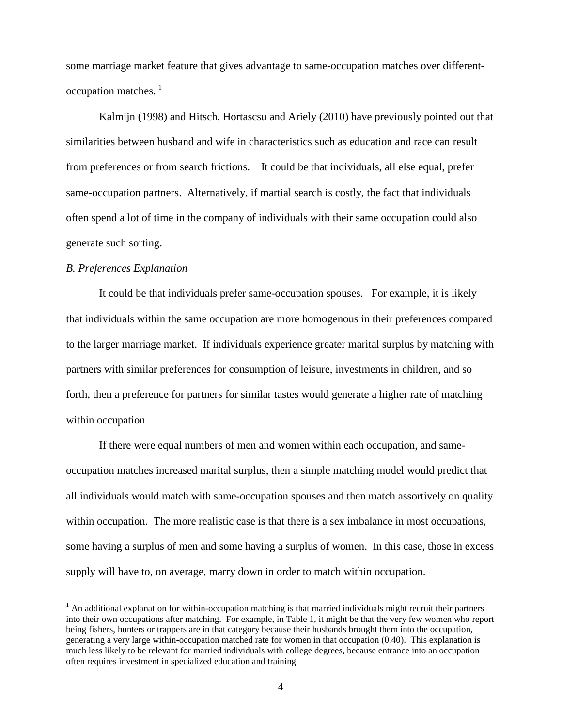some marriage market feature that gives advantage to same-occupation matches over different-occupation matches.<sup>[1](#page-6-0)</sup>

Kalmijn (1998) and Hitsch, Hortascsu and Ariely (2010) have previously pointed out that similarities between husband and wife in characteristics such as education and race can result from preferences or from search frictions. It could be that individuals, all else equal, prefer same-occupation partners. Alternatively, if martial search is costly, the fact that individuals often spend a lot of time in the company of individuals with their same occupation could also generate such sorting.

#### *B. Preferences Explanation*

It could be that individuals prefer same-occupation spouses. For example, it is likely that individuals within the same occupation are more homogenous in their preferences compared to the larger marriage market. If individuals experience greater marital surplus by matching with partners with similar preferences for consumption of leisure, investments in children, and so forth, then a preference for partners for similar tastes would generate a higher rate of matching within occupation

If there were equal numbers of men and women within each occupation, and sameoccupation matches increased marital surplus, then a simple matching model would predict that all individuals would match with same-occupation spouses and then match assortively on quality within occupation. The more realistic case is that there is a sex imbalance in most occupations, some having a surplus of men and some having a surplus of women. In this case, those in excess supply will have to, on average, marry down in order to match within occupation.

<span id="page-6-0"></span> $<sup>1</sup>$  An additional explanation for within-occupation matching is that married individuals might recruit their partners</sup> into their own occupations after matching. For example, in Table 1, it might be that the very few women who report being fishers, hunters or trappers are in that category because their husbands brought them into the occupation, generating a very large within-occupation matched rate for women in that occupation (0.40). This explanation is much less likely to be relevant for married individuals with college degrees, because entrance into an occupation often requires investment in specialized education and training.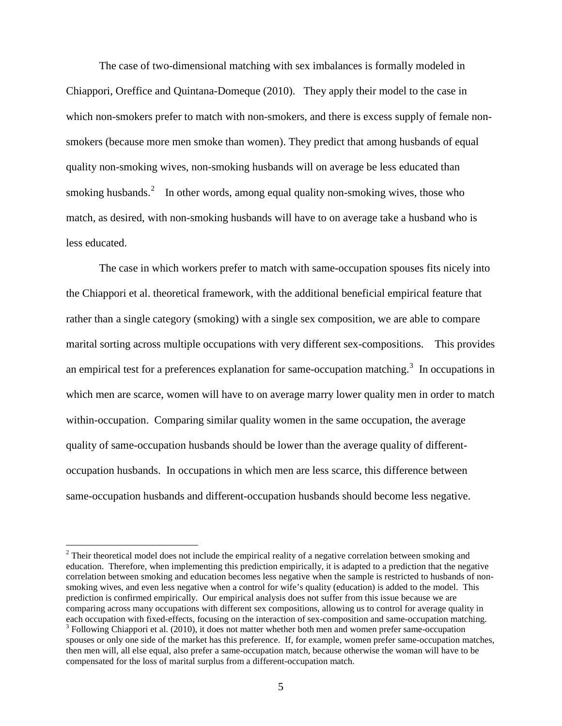The case of two-dimensional matching with sex imbalances is formally modeled in Chiappori, Oreffice and Quintana-Domeque (2010). They apply their model to the case in which non-smokers prefer to match with non-smokers, and there is excess supply of female nonsmokers (because more men smoke than women). They predict that among husbands of equal quality non-smoking wives, non-smoking husbands will on average be less educated than smoking husbands.<sup>[2](#page-7-0)</sup> In other words, among equal quality non-smoking wives, those who match, as desired, with non-smoking husbands will have to on average take a husband who is less educated.

The case in which workers prefer to match with same-occupation spouses fits nicely into the Chiappori et al. theoretical framework, with the additional beneficial empirical feature that rather than a single category (smoking) with a single sex composition, we are able to compare marital sorting across multiple occupations with very different sex-compositions. This provides an empirical test for a preferences explanation for same-occupation matching.<sup>[3](#page-7-1)</sup> In occupations in which men are scarce, women will have to on average marry lower quality men in order to match within-occupation. Comparing similar quality women in the same occupation, the average quality of same-occupation husbands should be lower than the average quality of differentoccupation husbands. In occupations in which men are less scarce, this difference between same-occupation husbands and different-occupation husbands should become less negative.

<span id="page-7-1"></span><span id="page-7-0"></span><sup>&</sup>lt;sup>2</sup> Their theoretical model does not include the empirical reality of a negative correlation between smoking and education. Therefore, when implementing this prediction empirically, it is adapted to a prediction that the negative correlation between smoking and education becomes less negative when the sample is restricted to husbands of nonsmoking wives, and even less negative when a control for wife's quality (education) is added to the model. This prediction is confirmed empirically. Our empirical analysis does not suffer from this issue because we are comparing across many occupations with different sex compositions, allowing us to control for average quality in each occupation with fixed-effects, focusing on the interaction of sex-composition and same-occupation matching.  $3$  Following Chiappori et al. (2010), it does not matter whether both men and women prefer same-occupation spouses or only one side of the market has this preference. If, for example, women prefer same-occupation matches, then men will, all else equal, also prefer a same-occupation match, because otherwise the woman will have to be compensated for the loss of marital surplus from a different-occupation match.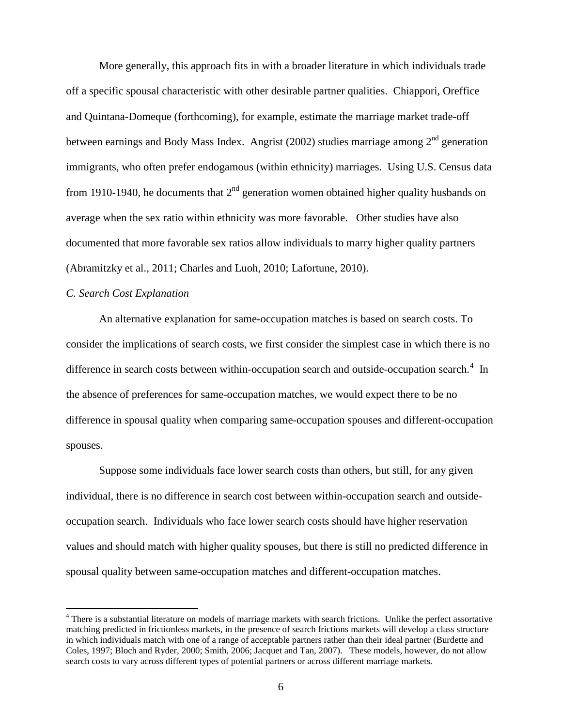More generally, this approach fits in with a broader literature in which individuals trade off a specific spousal characteristic with other desirable partner qualities. Chiappori, Oreffice and Quintana-Domeque (forthcoming), for example, estimate the marriage market trade-off between earnings and Body Mass Index. Angrist (2002) studies marriage among  $2<sup>nd</sup>$  generation immigrants, who often prefer endogamous (within ethnicity) marriages. Using U.S. Census data from 1910-1940, he documents that  $2<sup>nd</sup>$  generation women obtained higher quality husbands on average when the sex ratio within ethnicity was more favorable. Other studies have also documented that more favorable sex ratios allow individuals to marry higher quality partners (Abramitzky et al., 2011; Charles and Luoh, 2010; Lafortune, 2010).

#### *C. Search Cost Explanation*

An alternative explanation for same-occupation matches is based on search costs. To consider the implications of search costs, we first consider the simplest case in which there is no difference in search costs between within-occupation search and outside-occupation search.<sup>[4](#page-8-0)</sup> In the absence of preferences for same-occupation matches, we would expect there to be no difference in spousal quality when comparing same-occupation spouses and different-occupation spouses.

Suppose some individuals face lower search costs than others, but still, for any given individual, there is no difference in search cost between within-occupation search and outsideoccupation search. Individuals who face lower search costs should have higher reservation values and should match with higher quality spouses, but there is still no predicted difference in spousal quality between same-occupation matches and different-occupation matches.

<span id="page-8-0"></span><sup>&</sup>lt;sup>4</sup> There is a substantial literature on models of marriage markets with search frictions. Unlike the perfect assortative matching predicted in frictionless markets, in the presence of search frictions markets will develop a class structure in which individuals match with one of a range of acceptable partners rather than their ideal partner (Burdette and Coles, 1997; Bloch and Ryder, 2000; Smith, 2006; Jacquet and Tan, 2007). These models, however, do not allow search costs to vary across different types of potential partners or across different marriage markets.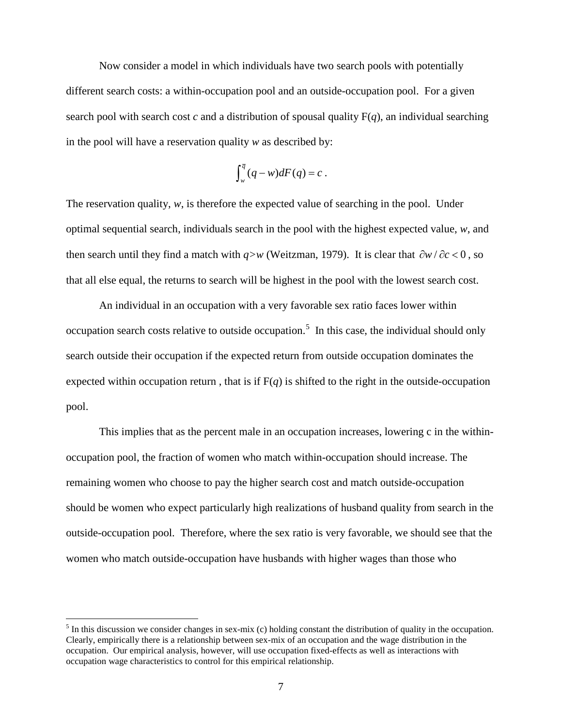Now consider a model in which individuals have two search pools with potentially different search costs: a within-occupation pool and an outside-occupation pool. For a given search pool with search cost  $c$  and a distribution of spousal quality  $F(q)$ , an individual searching in the pool will have a reservation quality *w* as described by:

$$
\int_{w}^{\overline{q}}(q-w)dF(q)=c.
$$

The reservation quality, *w*, is therefore the expected value of searching in the pool. Under optimal sequential search, individuals search in the pool with the highest expected value, *w*, and then search until they find a match with  $q>w$  (Weitzman, 1979). It is clear that  $\partial w / \partial c < 0$ , so that all else equal, the returns to search will be highest in the pool with the lowest search cost.

An individual in an occupation with a very favorable sex ratio faces lower within occupation search costs relative to outside occupation.<sup>[5](#page-9-0)</sup> In this case, the individual should only search outside their occupation if the expected return from outside occupation dominates the expected within occupation return, that is if  $F(q)$  is shifted to the right in the outside-occupation pool.

This implies that as the percent male in an occupation increases, lowering c in the withinoccupation pool, the fraction of women who match within-occupation should increase. The remaining women who choose to pay the higher search cost and match outside-occupation should be women who expect particularly high realizations of husband quality from search in the outside-occupation pool. Therefore, where the sex ratio is very favorable, we should see that the women who match outside-occupation have husbands with higher wages than those who

<span id="page-9-0"></span> $<sup>5</sup>$  In this discussion we consider changes in sex-mix (c) holding constant the distribution of quality in the occupation.</sup> Clearly, empirically there is a relationship between sex-mix of an occupation and the wage distribution in the occupation. Our empirical analysis, however, will use occupation fixed-effects as well as interactions with occupation wage characteristics to control for this empirical relationship.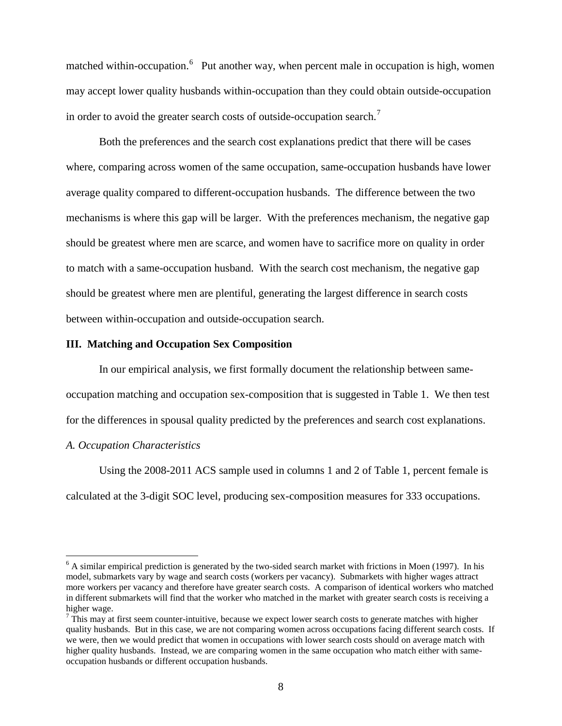matched within-occupation.<sup>[6](#page-10-0)</sup> Put another way, when percent male in occupation is high, women may accept lower quality husbands within-occupation than they could obtain outside-occupation in order to avoid the greater search costs of outside-occupation search.<sup>[7](#page-10-1)</sup>

Both the preferences and the search cost explanations predict that there will be cases where, comparing across women of the same occupation, same-occupation husbands have lower average quality compared to different-occupation husbands. The difference between the two mechanisms is where this gap will be larger. With the preferences mechanism, the negative gap should be greatest where men are scarce, and women have to sacrifice more on quality in order to match with a same-occupation husband. With the search cost mechanism, the negative gap should be greatest where men are plentiful, generating the largest difference in search costs between within-occupation and outside-occupation search.

#### **III. Matching and Occupation Sex Composition**

In our empirical analysis, we first formally document the relationship between sameoccupation matching and occupation sex-composition that is suggested in Table 1. We then test for the differences in spousal quality predicted by the preferences and search cost explanations.

#### *A. Occupation Characteristics*

Using the 2008-2011 ACS sample used in columns 1 and 2 of Table 1, percent female is calculated at the 3-digit SOC level, producing sex-composition measures for 333 occupations.

<span id="page-10-0"></span> $6$  A similar empirical prediction is generated by the two-sided search market with frictions in Moen (1997). In his model, submarkets vary by wage and search costs (workers per vacancy). Submarkets with higher wages attract more workers per vacancy and therefore have greater search costs. A comparison of identical workers who matched in different submarkets will find that the worker who matched in the market with greater search costs is receiving a higher wage.

<span id="page-10-1"></span> $\frac{7}{1}$  This may at first seem counter-intuitive, because we expect lower search costs to generate matches with higher quality husbands. But in this case, we are not comparing women across occupations facing different search costs. If we were, then we would predict that women in occupations with lower search costs should on average match with higher quality husbands. Instead, we are comparing women in the same occupation who match either with sameoccupation husbands or different occupation husbands.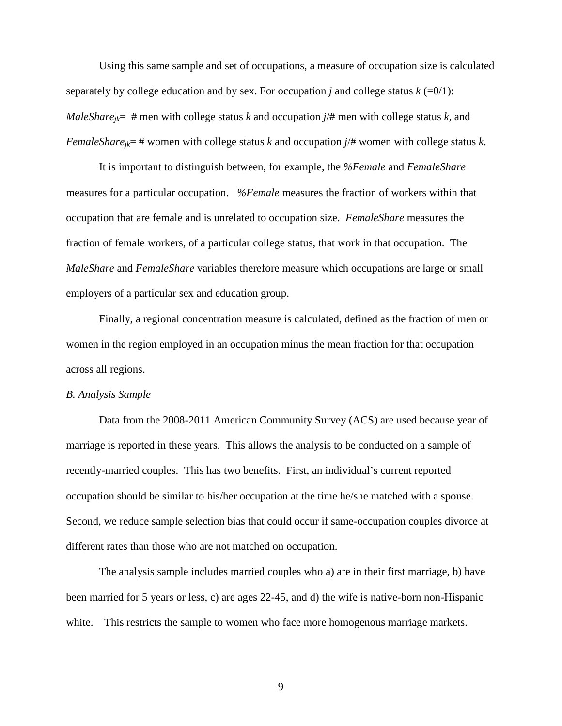Using this same sample and set of occupations, a measure of occupation size is calculated separately by college education and by sex. For occupation *j* and college status  $k (=0/1)$ : *MaleShare<sub>ik</sub>*= # men with college status *k* and occupation  $j/\#$  men with college status *k*, and *FemaleShare<sub>ik</sub>*= # women with college status *k* and occupation  $j/\#$  women with college status *k*.

It is important to distinguish between, for example, the *%Female* and *FemaleShare* measures for a particular occupation. *%Female* measures the fraction of workers within that occupation that are female and is unrelated to occupation size. *FemaleShare* measures the fraction of female workers, of a particular college status, that work in that occupation. The *MaleShare* and *FemaleShare* variables therefore measure which occupations are large or small employers of a particular sex and education group.

Finally, a regional concentration measure is calculated, defined as the fraction of men or women in the region employed in an occupation minus the mean fraction for that occupation across all regions.

#### *B. Analysis Sample*

Data from the 2008-2011 American Community Survey (ACS) are used because year of marriage is reported in these years. This allows the analysis to be conducted on a sample of recently-married couples. This has two benefits. First, an individual's current reported occupation should be similar to his/her occupation at the time he/she matched with a spouse. Second, we reduce sample selection bias that could occur if same-occupation couples divorce at different rates than those who are not matched on occupation.

The analysis sample includes married couples who a) are in their first marriage, b) have been married for 5 years or less, c) are ages 22-45, and d) the wife is native-born non-Hispanic white. This restricts the sample to women who face more homogenous marriage markets.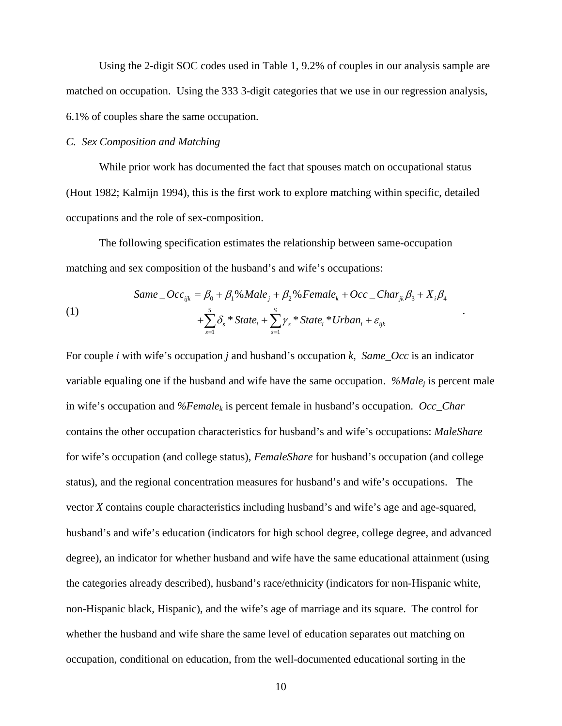Using the 2-digit SOC codes used in Table 1, 9.2% of couples in our analysis sample are matched on occupation. Using the 333 3-digit categories that we use in our regression analysis, 6.1% of couples share the same occupation.

#### *C. Sex Composition and Matching*

While prior work has documented the fact that spouses match on occupational status (Hout 1982; Kalmijn 1994), this is the first work to explore matching within specific, detailed occupations and the role of sex-composition.

The following specification estimates the relationship between same-occupation matching and sex composition of the husband's and wife's occupations:

(1)  
\n
$$
\text{Same}\_\text{Occ}_{ijk} = \beta_0 + \beta_1\% \text{Male}_j + \beta_2\% \text{ Female}_k + \text{Occ}\_\text{Char}_{jk}\beta_3 + X_i\beta_4
$$
\n
$$
+ \sum_{s=1}^{S} \delta_s * \text{State}_i + \sum_{s=1}^{S} \gamma_s * \text{State}_i * \text{Urban}_i + \varepsilon_{ijk}
$$

For couple *i* with wife's occupation *j* and husband's occupation *k*, *Same\_Occ* is an indicator variable equaling one if the husband and wife have the same occupation. *%Male<sub>i</sub>* is percent male in wife's occupation and *%Female<sub>k</sub>* is percent female in husband's occupation. *Occ\_Char* contains the other occupation characteristics for husband's and wife's occupations: *MaleShare* for wife's occupation (and college status), *FemaleShare* for husband's occupation (and college status), and the regional concentration measures for husband's and wife's occupations. The vector *X* contains couple characteristics including husband's and wife's age and age-squared, husband's and wife's education (indicators for high school degree, college degree, and advanced degree), an indicator for whether husband and wife have the same educational attainment (using the categories already described), husband's race/ethnicity (indicators for non-Hispanic white, non-Hispanic black, Hispanic), and the wife's age of marriage and its square. The control for whether the husband and wife share the same level of education separates out matching on occupation, conditional on education, from the well-documented educational sorting in the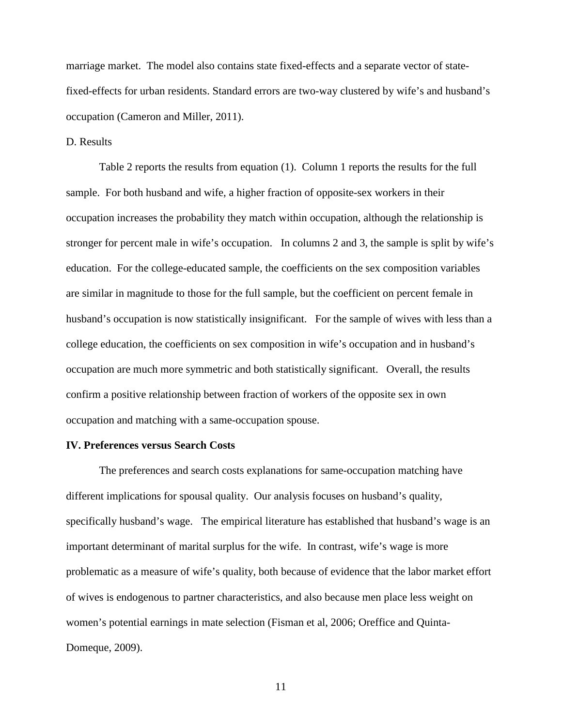marriage market. The model also contains state fixed-effects and a separate vector of statefixed-effects for urban residents. Standard errors are two-way clustered by wife's and husband's occupation (Cameron and Miller, 2011).

#### D. Results

Table 2 reports the results from equation (1). Column 1 reports the results for the full sample. For both husband and wife, a higher fraction of opposite-sex workers in their occupation increases the probability they match within occupation, although the relationship is stronger for percent male in wife's occupation. In columns 2 and 3, the sample is split by wife's education. For the college-educated sample, the coefficients on the sex composition variables are similar in magnitude to those for the full sample, but the coefficient on percent female in husband's occupation is now statistically insignificant. For the sample of wives with less than a college education, the coefficients on sex composition in wife's occupation and in husband's occupation are much more symmetric and both statistically significant. Overall, the results confirm a positive relationship between fraction of workers of the opposite sex in own occupation and matching with a same-occupation spouse.

#### **IV. Preferences versus Search Costs**

The preferences and search costs explanations for same-occupation matching have different implications for spousal quality. Our analysis focuses on husband's quality, specifically husband's wage. The empirical literature has established that husband's wage is an important determinant of marital surplus for the wife. In contrast, wife's wage is more problematic as a measure of wife's quality, both because of evidence that the labor market effort of wives is endogenous to partner characteristics, and also because men place less weight on women's potential earnings in mate selection (Fisman et al, 2006; Oreffice and Quinta-Domeque, 2009).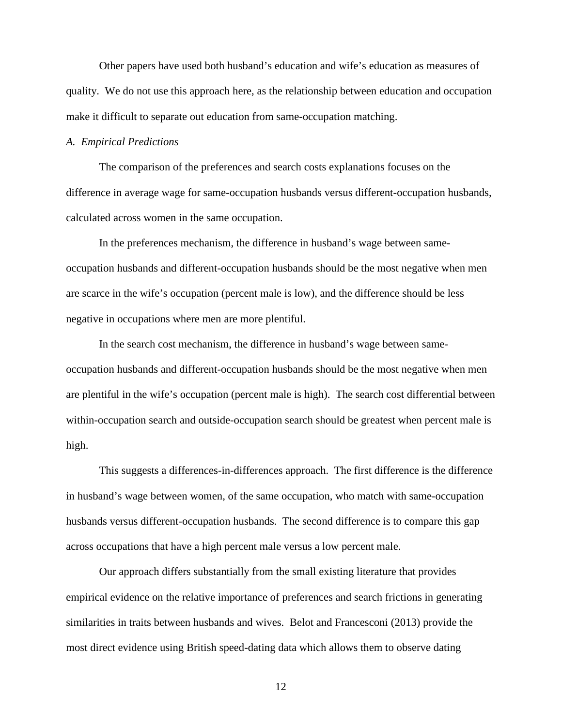Other papers have used both husband's education and wife's education as measures of quality. We do not use this approach here, as the relationship between education and occupation make it difficult to separate out education from same-occupation matching.

#### *A. Empirical Predictions*

The comparison of the preferences and search costs explanations focuses on the difference in average wage for same-occupation husbands versus different-occupation husbands, calculated across women in the same occupation.

In the preferences mechanism, the difference in husband's wage between sameoccupation husbands and different-occupation husbands should be the most negative when men are scarce in the wife's occupation (percent male is low), and the difference should be less negative in occupations where men are more plentiful.

In the search cost mechanism, the difference in husband's wage between sameoccupation husbands and different-occupation husbands should be the most negative when men are plentiful in the wife's occupation (percent male is high). The search cost differential between within-occupation search and outside-occupation search should be greatest when percent male is high.

This suggests a differences-in-differences approach. The first difference is the difference in husband's wage between women, of the same occupation, who match with same-occupation husbands versus different-occupation husbands. The second difference is to compare this gap across occupations that have a high percent male versus a low percent male.

Our approach differs substantially from the small existing literature that provides empirical evidence on the relative importance of preferences and search frictions in generating similarities in traits between husbands and wives. Belot and Francesconi (2013) provide the most direct evidence using British speed-dating data which allows them to observe dating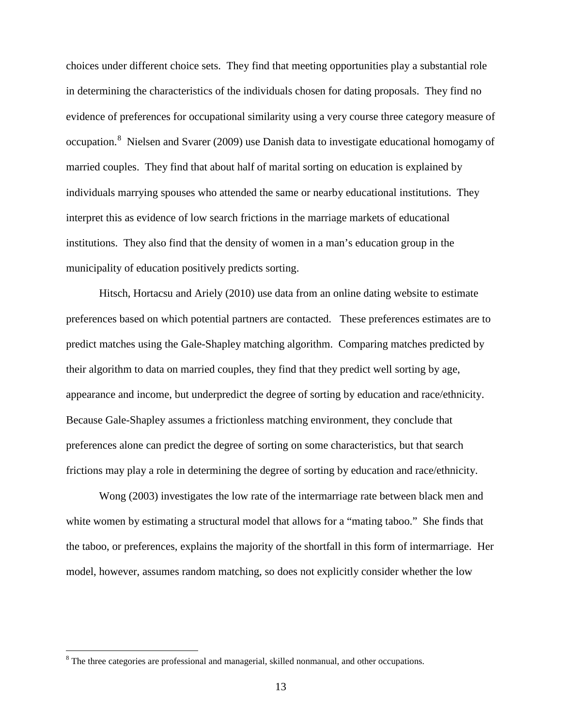choices under different choice sets. They find that meeting opportunities play a substantial role in determining the characteristics of the individuals chosen for dating proposals. They find no evidence of preferences for occupational similarity using a very course three category measure of occupation.<sup>[8](#page-15-0)</sup> Nielsen and Svarer (2009) use Danish data to investigate educational homogamy of married couples. They find that about half of marital sorting on education is explained by individuals marrying spouses who attended the same or nearby educational institutions. They interpret this as evidence of low search frictions in the marriage markets of educational institutions. They also find that the density of women in a man's education group in the municipality of education positively predicts sorting.

Hitsch, Hortacsu and Ariely (2010) use data from an online dating website to estimate preferences based on which potential partners are contacted. These preferences estimates are to predict matches using the Gale-Shapley matching algorithm. Comparing matches predicted by their algorithm to data on married couples, they find that they predict well sorting by age, appearance and income, but underpredict the degree of sorting by education and race/ethnicity. Because Gale-Shapley assumes a frictionless matching environment, they conclude that preferences alone can predict the degree of sorting on some characteristics, but that search frictions may play a role in determining the degree of sorting by education and race/ethnicity.

Wong (2003) investigates the low rate of the intermarriage rate between black men and white women by estimating a structural model that allows for a "mating taboo." She finds that the taboo, or preferences, explains the majority of the shortfall in this form of intermarriage. Her model, however, assumes random matching, so does not explicitly consider whether the low

<span id="page-15-0"></span><sup>&</sup>lt;sup>8</sup> The three categories are professional and managerial, skilled nonmanual, and other occupations.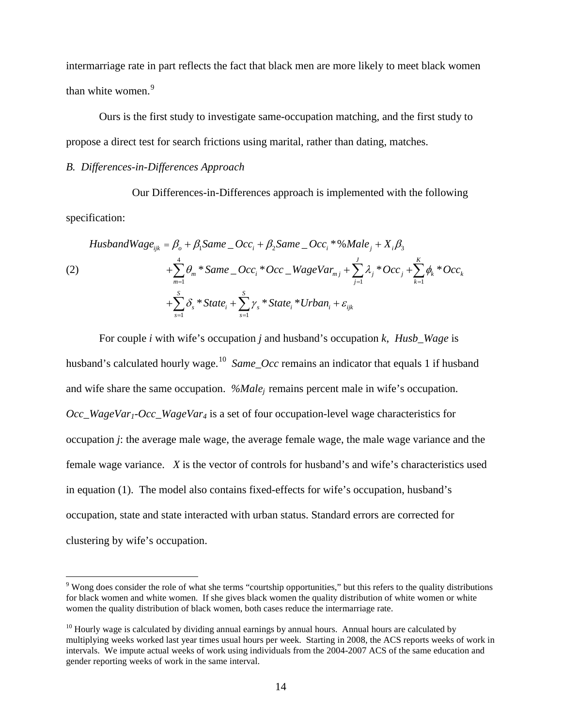intermarriage rate in part reflects the fact that black men are more likely to meet black women than white women.<sup>[9](#page-16-0)</sup>

Ours is the first study to investigate same-occupation matching, and the first study to propose a direct test for search frictions using marital, rather than dating, matches.

#### *B. Differences-in-Differences Approach*

Our Differences-in-Differences approach is implemented with the following specification:

$$
HusbandWage_{ijk} = \beta_o + \beta_1 Same\_Occ_i + \beta_2 Same\_Occ_i * \% Male_j + X_i \beta_3
$$
  
(2)  

$$
+ \sum_{m=1}^{4} \theta_m * Same\_Occ_i * Occ\_WageVar_{mj} + \sum_{j=1}^{J} \lambda_j * Occ_j + \sum_{k=1}^{K} \phi_k * Occ_k
$$
  

$$
+ \sum_{s=1}^{S} \delta_s * State_i + \sum_{s=1}^{S} \gamma_s * State_i * Urban_i + \varepsilon_{ijk}
$$

For couple *i* with wife's occupation *j* and husband's occupation *k*, *Husb\_Wage* is husband's calculated hourly wage.<sup>10</sup> *Same Occ* remains an indicator that equals 1 if husband and wife share the same occupation. *%Malej* remains percent male in wife's occupation. *Occ\_WageVar1-Occ\_WageVar4* is a set of four occupation-level wage characteristics for occupation *j*: the average male wage, the average female wage, the male wage variance and the female wage variance. *X* is the vector of controls for husband's and wife's characteristics used in equation (1). The model also contains fixed-effects for wife's occupation, husband's occupation, state and state interacted with urban status. Standard errors are corrected for clustering by wife's occupation.

<span id="page-16-0"></span><sup>&</sup>lt;sup>9</sup> Wong does consider the role of what she terms "courtship opportunities," but this refers to the quality distributions for black women and white women. If she gives black women the quality distribution of white women or white women the quality distribution of black women, both cases reduce the intermarriage rate.

<span id="page-16-1"></span> $10$  Hourly wage is calculated by dividing annual earnings by annual hours. Annual hours are calculated by multiplying weeks worked last year times usual hours per week. Starting in 2008, the ACS reports weeks of work in intervals. We impute actual weeks of work using individuals from the 2004-2007 ACS of the same education and gender reporting weeks of work in the same interval.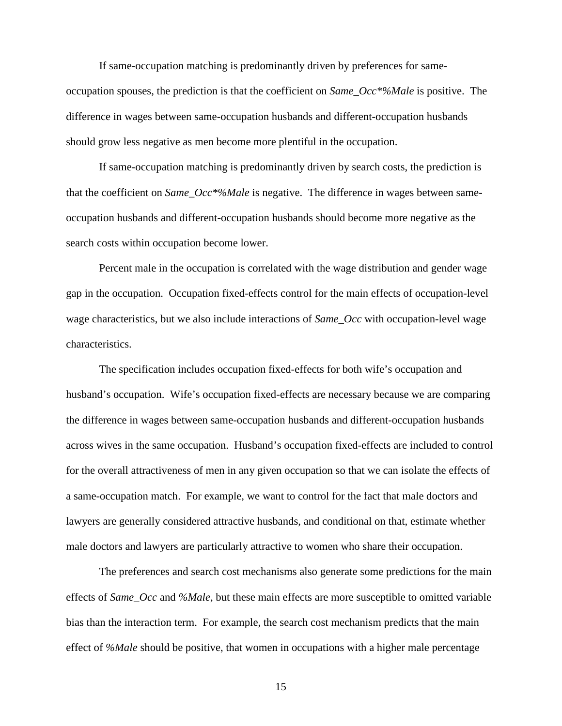If same-occupation matching is predominantly driven by preferences for sameoccupation spouses, the prediction is that the coefficient on *Same\_Occ\*%Male* is positive. The difference in wages between same-occupation husbands and different-occupation husbands should grow less negative as men become more plentiful in the occupation.

If same-occupation matching is predominantly driven by search costs, the prediction is that the coefficient on *Same\_Occ\*%Male* is negative. The difference in wages between sameoccupation husbands and different-occupation husbands should become more negative as the search costs within occupation become lower.

Percent male in the occupation is correlated with the wage distribution and gender wage gap in the occupation. Occupation fixed-effects control for the main effects of occupation-level wage characteristics, but we also include interactions of *Same\_Occ* with occupation-level wage characteristics.

The specification includes occupation fixed-effects for both wife's occupation and husband's occupation. Wife's occupation fixed-effects are necessary because we are comparing the difference in wages between same-occupation husbands and different-occupation husbands across wives in the same occupation. Husband's occupation fixed-effects are included to control for the overall attractiveness of men in any given occupation so that we can isolate the effects of a same-occupation match. For example, we want to control for the fact that male doctors and lawyers are generally considered attractive husbands, and conditional on that, estimate whether male doctors and lawyers are particularly attractive to women who share their occupation.

The preferences and search cost mechanisms also generate some predictions for the main effects of *Same\_Occ* and *%Male*, but these main effects are more susceptible to omitted variable bias than the interaction term. For example, the search cost mechanism predicts that the main effect of *%Male* should be positive, that women in occupations with a higher male percentage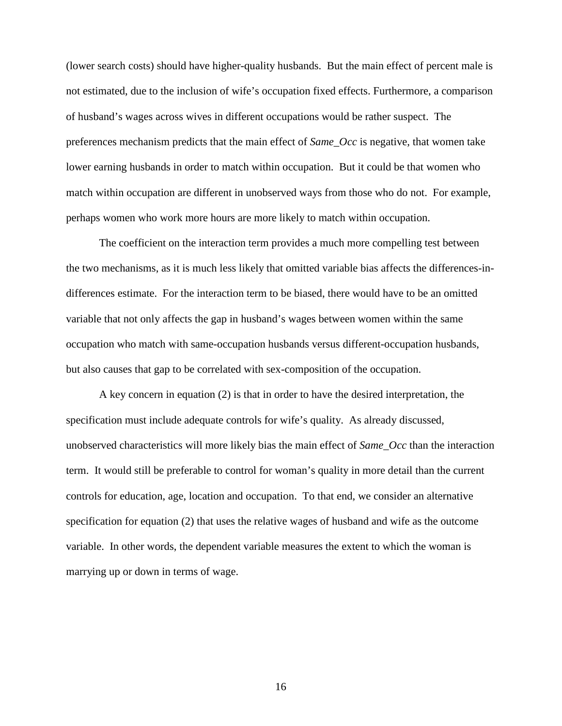(lower search costs) should have higher-quality husbands. But the main effect of percent male is not estimated, due to the inclusion of wife's occupation fixed effects. Furthermore, a comparison of husband's wages across wives in different occupations would be rather suspect. The preferences mechanism predicts that the main effect of *Same\_Occ* is negative, that women take lower earning husbands in order to match within occupation. But it could be that women who match within occupation are different in unobserved ways from those who do not. For example, perhaps women who work more hours are more likely to match within occupation.

The coefficient on the interaction term provides a much more compelling test between the two mechanisms, as it is much less likely that omitted variable bias affects the differences-indifferences estimate. For the interaction term to be biased, there would have to be an omitted variable that not only affects the gap in husband's wages between women within the same occupation who match with same-occupation husbands versus different-occupation husbands, but also causes that gap to be correlated with sex-composition of the occupation.

A key concern in equation (2) is that in order to have the desired interpretation, the specification must include adequate controls for wife's quality. As already discussed, unobserved characteristics will more likely bias the main effect of *Same\_Occ* than the interaction term. It would still be preferable to control for woman's quality in more detail than the current controls for education, age, location and occupation. To that end, we consider an alternative specification for equation (2) that uses the relative wages of husband and wife as the outcome variable. In other words, the dependent variable measures the extent to which the woman is marrying up or down in terms of wage.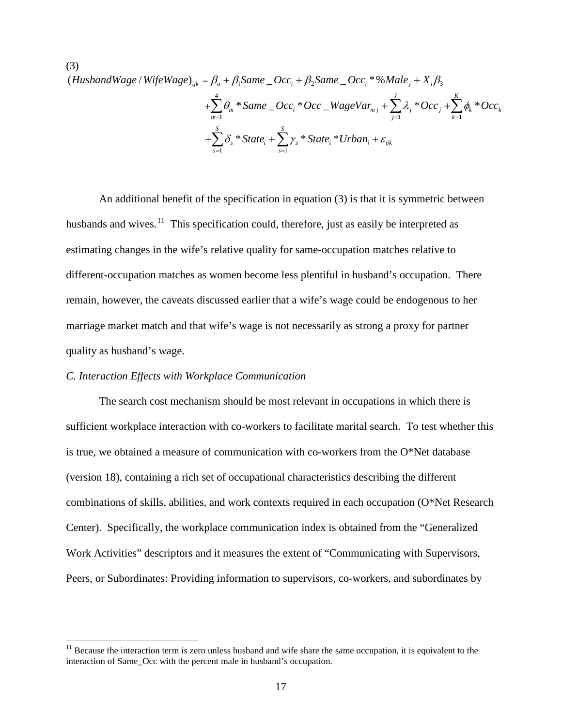(3) (HusbandWage / WifeWage)<sub>ijk</sub> =  $\beta_o + \beta_1$ Same \_ Occ<sub>i</sub> +  $\beta_2$ Same \_ Occ<sub>i</sub> \*%Male<sub>j</sub> + X<sub>i</sub> $\beta_3$ 4  $j=1$   $k=1$  $s=1$ \* Same \_ Occ, \* Occ \_ WageVar<sub>mi</sub> +  $\sum \lambda_i$  \* Occ, +  $\sum \phi_k$  \* \* State<sub>i</sub> +  $\sum_{i} \gamma_{s}$  \* State<sub>i</sub> \* *J K m i mj j j k k*  $m=1$  k *S S*  $s$   $\sum_i s$   $\sum_i s_i$   $\sum_i s_i$   $\sum_i s_i$ *s s*  $\theta_m$  \* Same \_ Occ<sub>i</sub> \* Occ \_ WageVar<sub>mi</sub> +  $\sum \lambda_i$  \* Occ<sub>i</sub> +  $\sum \phi_k$  \* Occ  $\delta_{s}$  \* State<sub>i</sub> +  $\sum_{s}$   $\gamma_{s}$  \* State<sub>i</sub> \* Urban<sub>i</sub> +  $\varepsilon_{s}$  $j=1$   $k=$  $s = 1$   $s = 1$ +  $\sum\theta_m$  \* Same \_ Occ. \* Occ \_ WageVar $_{mj}$  +  $\sum\lambda_j$  \* Occ  $_j$  +  $\sum\theta_m$  $+\sum_{i} \delta_{s} * State_{i} + \sum_{i} \gamma_{s} * State_{i} * Urban_{i} +$ 

An additional benefit of the specification in equation (3) is that it is symmetric between husbands and wives. $\frac{11}{11}$  This specification could, therefore, just as easily be interpreted as estimating changes in the wife's relative quality for same-occupation matches relative to different-occupation matches as women become less plentiful in husband's occupation. There remain, however, the caveats discussed earlier that a wife's wage could be endogenous to her marriage market match and that wife's wage is not necessarily as strong a proxy for partner quality as husband's wage.

#### *C. Interaction Effects with Workplace Communication*

The search cost mechanism should be most relevant in occupations in which there is sufficient workplace interaction with co-workers to facilitate marital search. To test whether this is true, we obtained a measure of communication with co-workers from the O\*Net database (version 18), containing a rich set of occupational characteristics describing the different combinations of skills, abilities, and work contexts required in each occupation (O\*Net Research Center). Specifically, the workplace communication index is obtained from the "Generalized Work Activities" descriptors and it measures the extent of "Communicating with Supervisors, Peers, or Subordinates: Providing information to supervisors, co-workers, and subordinates by

<span id="page-19-0"></span> $11$  Because the interaction term is zero unless husband and wife share the same occupation, it is equivalent to the interaction of Same\_Occ with the percent male in husband's occupation.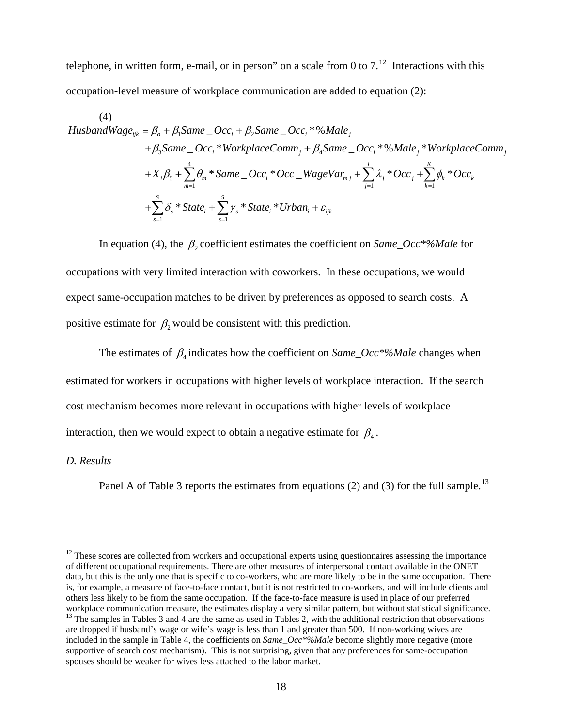telephone, in written form, e-mail, or in person" on a scale from 0 to  $7.^{12}$  $7.^{12}$  $7.^{12}$  Interactions with this occupation-level measure of workplace communication are added to equation (2):

(4)  
\nHusbandWage<sub>ijk</sub> = 
$$
\beta_o + \beta_1
$$
Same  $\_$ Occ<sub>i</sub> +  $\beta_2$ Same  $\_$ Occ<sub>i</sub> \*%Male<sub>j</sub>  
\n $+ \beta_3$ Same  $\_$ Occ<sub>i</sub> \*WorkplaceComm<sub>j</sub> +  $\beta_4$ Same  $\_$ Occ<sub>i</sub> \*%Male<sub>j</sub> \* WorkplaceComm<sub>j</sub>  
\n $+ X_i\beta_5 + \sum_{m=1}^{4} \theta_m * Same \_$ Occ<sub>i</sub> \* Occ  $\_$ WageVar<sub>mj</sub> +  $\sum_{j=1}^{J} \lambda_j * Occ_j + \sum_{k=1}^{K} \phi_k * Occ_k$   
\n $+ \sum_{s=1}^{S} \delta_s * State_i + \sum_{s=1}^{S} \gamma_s * State_i * Urban_i + \varepsilon_{ijk}$ 

In equation (4), the  $\beta_2$  coefficient estimates the coefficient on *Same\_Occ*\*%Male for occupations with very limited interaction with coworkers. In these occupations, we would expect same-occupation matches to be driven by preferences as opposed to search costs. A positive estimate for  $\beta_2$  would be consistent with this prediction.

The estimates of  $\beta_4$  indicates how the coefficient on *Same\_Occ\*%Male* changes when estimated for workers in occupations with higher levels of workplace interaction. If the search cost mechanism becomes more relevant in occupations with higher levels of workplace interaction, then we would expect to obtain a negative estimate for  $\beta_4$ .

#### *D. Results*

Panel A of Table 3 reports the estimates from equations (2) and (3) for the full sample.<sup>13</sup>

<span id="page-20-1"></span><span id="page-20-0"></span> $12$  These scores are collected from workers and occupational experts using questionnaires assessing the importance of different occupational requirements. There are other measures of interpersonal contact available in the ONET data, but this is the only one that is specific to co-workers, who are more likely to be in the same occupation. There is, for example, a measure of face-to-face contact, but it is not restricted to co-workers, and will include clients and others less likely to be from the same occupation. If the face-to-face measure is used in place of our preferred  $13$  The samples in Tables 3 and 4 are the same as used in Tables 2, with the additional restriction that observations are dropped if husband's wage or wife's wage is less than 1 and greater than 500. If non-working wives are included in the sample in Table 4, the coefficients on *Same\_Occ\*%Male* become slightly more negative (more supportive of search cost mechanism). This is not surprising, given that any preferences for same-occupation spouses should be weaker for wives less attached to the labor market.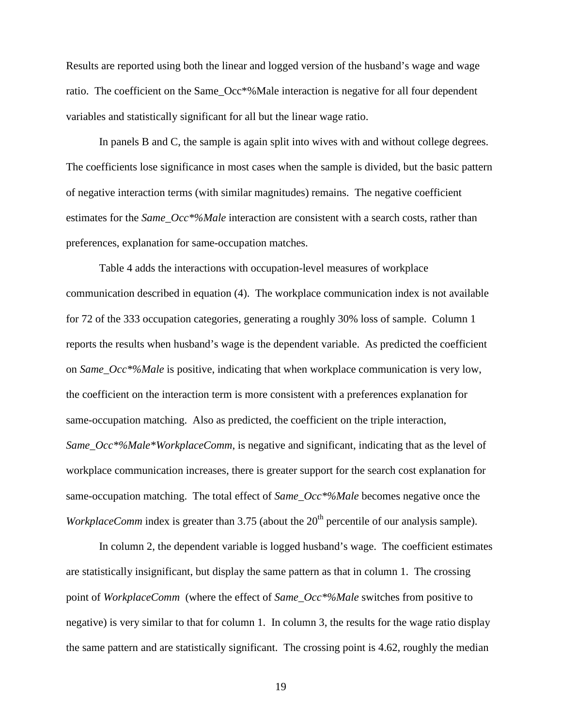Results are reported using both the linear and logged version of the husband's wage and wage ratio. The coefficient on the Same Occ<sup>\*%</sup>Male interaction is negative for all four dependent variables and statistically significant for all but the linear wage ratio.

In panels B and C, the sample is again split into wives with and without college degrees. The coefficients lose significance in most cases when the sample is divided, but the basic pattern of negative interaction terms (with similar magnitudes) remains. The negative coefficient estimates for the *Same\_Occ\*%Male* interaction are consistent with a search costs, rather than preferences, explanation for same-occupation matches.

Table 4 adds the interactions with occupation-level measures of workplace communication described in equation (4). The workplace communication index is not available for 72 of the 333 occupation categories, generating a roughly 30% loss of sample. Column 1 reports the results when husband's wage is the dependent variable. As predicted the coefficient on *Same\_Occ\*%Male* is positive, indicating that when workplace communication is very low, the coefficient on the interaction term is more consistent with a preferences explanation for same-occupation matching. Also as predicted, the coefficient on the triple interaction, *Same\_Occ\*%Male\*WorkplaceComm*, is negative and significant, indicating that as the level of workplace communication increases, there is greater support for the search cost explanation for same-occupation matching. The total effect of *Same\_Occ\*%Male* becomes negative once the *WorkplaceComm* index is greater than  $3.75$  (about the  $20<sup>th</sup>$  percentile of our analysis sample).

In column 2, the dependent variable is logged husband's wage. The coefficient estimates are statistically insignificant, but display the same pattern as that in column 1. The crossing point of *WorkplaceComm* (where the effect of *Same\_Occ\*%Male* switches from positive to negative) is very similar to that for column 1. In column 3, the results for the wage ratio display the same pattern and are statistically significant. The crossing point is 4.62, roughly the median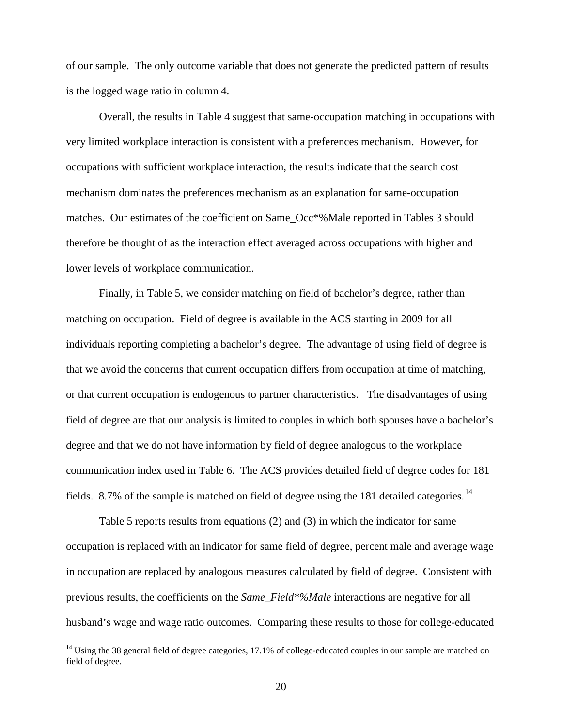of our sample. The only outcome variable that does not generate the predicted pattern of results is the logged wage ratio in column 4.

Overall, the results in Table 4 suggest that same-occupation matching in occupations with very limited workplace interaction is consistent with a preferences mechanism. However, for occupations with sufficient workplace interaction, the results indicate that the search cost mechanism dominates the preferences mechanism as an explanation for same-occupation matches. Our estimates of the coefficient on Same\_Occ\*%Male reported in Tables 3 should therefore be thought of as the interaction effect averaged across occupations with higher and lower levels of workplace communication.

Finally, in Table 5, we consider matching on field of bachelor's degree, rather than matching on occupation. Field of degree is available in the ACS starting in 2009 for all individuals reporting completing a bachelor's degree. The advantage of using field of degree is that we avoid the concerns that current occupation differs from occupation at time of matching, or that current occupation is endogenous to partner characteristics. The disadvantages of using field of degree are that our analysis is limited to couples in which both spouses have a bachelor's degree and that we do not have information by field of degree analogous to the workplace communication index used in Table 6. The ACS provides detailed field of degree codes for 181 fields. 8.7% of the sample is matched on field of degree using the 181 detailed categories.<sup>[14](#page-22-0)</sup>

Table 5 reports results from equations (2) and (3) in which the indicator for same occupation is replaced with an indicator for same field of degree, percent male and average wage in occupation are replaced by analogous measures calculated by field of degree. Consistent with previous results, the coefficients on the *Same\_Field\*%Male* interactions are negative for all husband's wage and wage ratio outcomes. Comparing these results to those for college-educated

<span id="page-22-0"></span> $14$  Using the 38 general field of degree categories, 17.1% of college-educated couples in our sample are matched on field of degree.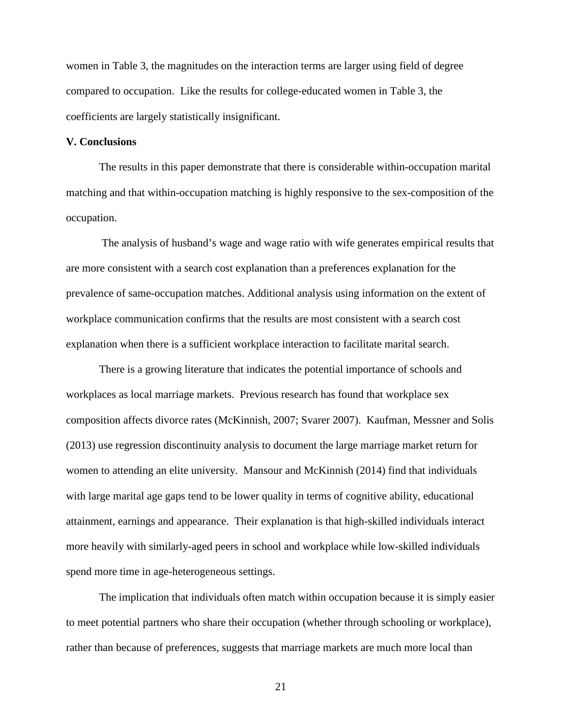women in Table 3, the magnitudes on the interaction terms are larger using field of degree compared to occupation. Like the results for college-educated women in Table 3, the coefficients are largely statistically insignificant.

#### **V. Conclusions**

The results in this paper demonstrate that there is considerable within-occupation marital matching and that within-occupation matching is highly responsive to the sex-composition of the occupation.

The analysis of husband's wage and wage ratio with wife generates empirical results that are more consistent with a search cost explanation than a preferences explanation for the prevalence of same-occupation matches. Additional analysis using information on the extent of workplace communication confirms that the results are most consistent with a search cost explanation when there is a sufficient workplace interaction to facilitate marital search.

There is a growing literature that indicates the potential importance of schools and workplaces as local marriage markets. Previous research has found that workplace sex composition affects divorce rates (McKinnish, 2007; Svarer 2007). Kaufman, Messner and Solis (2013) use regression discontinuity analysis to document the large marriage market return for women to attending an elite university. Mansour and McKinnish (2014) find that individuals with large marital age gaps tend to be lower quality in terms of cognitive ability, educational attainment, earnings and appearance. Their explanation is that high-skilled individuals interact more heavily with similarly-aged peers in school and workplace while low-skilled individuals spend more time in age-heterogeneous settings.

The implication that individuals often match within occupation because it is simply easier to meet potential partners who share their occupation (whether through schooling or workplace), rather than because of preferences, suggests that marriage markets are much more local than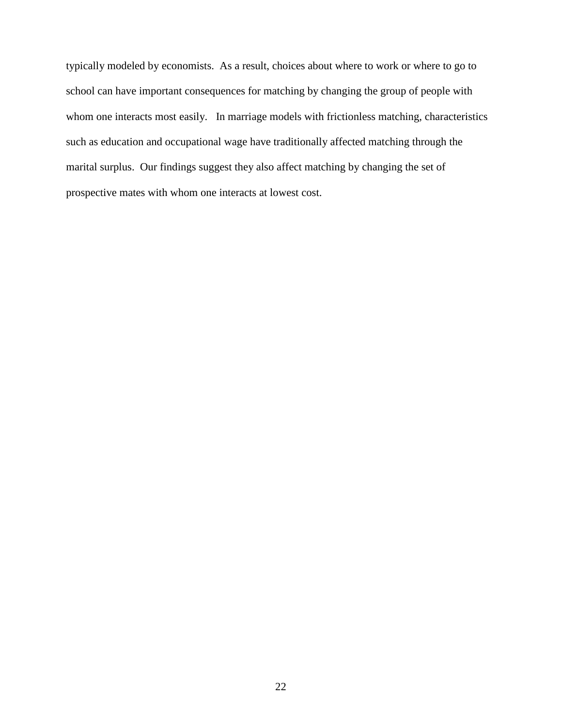typically modeled by economists. As a result, choices about where to work or where to go to school can have important consequences for matching by changing the group of people with whom one interacts most easily. In marriage models with frictionless matching, characteristics such as education and occupational wage have traditionally affected matching through the marital surplus. Our findings suggest they also affect matching by changing the set of prospective mates with whom one interacts at lowest cost.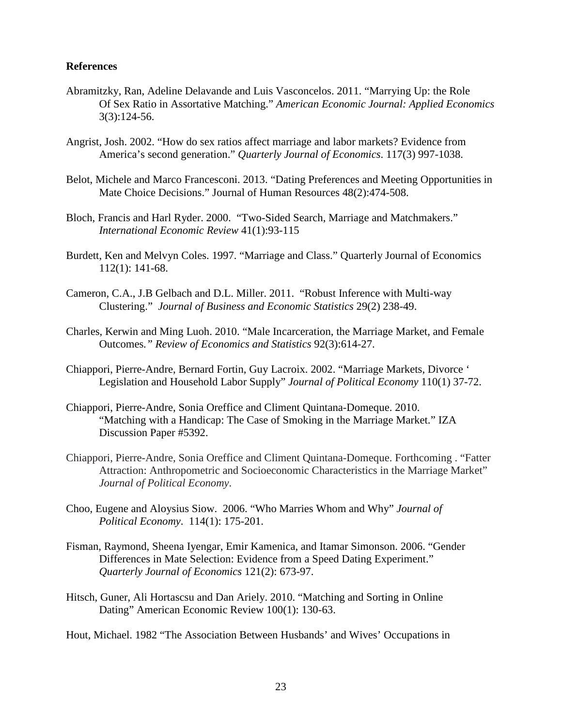#### **References**

- Abramitzky, Ran, Adeline Delavande and Luis Vasconcelos. 2011. "Marrying Up: the Role Of Sex Ratio in Assortative Matching." *American Economic Journal: Applied Economics* 3(3):124-56.
- Angrist, Josh. 2002. "How do sex ratios affect marriage and labor markets? Evidence from America's second generation." *Quarterly Journal of Economics*. 117(3) 997-1038.
- Belot, Michele and Marco Francesconi. 2013. "Dating Preferences and Meeting Opportunities in Mate Choice Decisions." Journal of Human Resources 48(2):474-508.
- Bloch, Francis and Harl Ryder. 2000. "Two-Sided Search, Marriage and Matchmakers." *International Economic Review* 41(1):93-115
- Burdett, Ken and Melvyn Coles. 1997. "Marriage and Class." Quarterly Journal of Economics 112(1): 141-68.
- Cameron, C.A., J.B Gelbach and D.L. Miller. 2011. "Robust Inference with Multi-way Clustering." *Journal of Business and Economic Statistics* 29(2) 238-49.
- Charles, Kerwin and Ming Luoh. 2010. "Male Incarceration, the Marriage Market, and Female Outcomes*." Review of Economics and Statistics* 92(3):614-27.
- Chiappori, Pierre-Andre, Bernard Fortin, Guy Lacroix. 2002. "Marriage Markets, Divorce ' Legislation and Household Labor Supply" *Journal of Political Economy* 110(1) 37-72.
- Chiappori, Pierre-Andre, Sonia Oreffice and Climent Quintana-Domeque. 2010. "Matching with a Handicap: The Case of Smoking in the Marriage Market." IZA Discussion Paper #5392.
- Chiappori, Pierre-Andre, Sonia Oreffice and Climent Quintana-Domeque. Forthcoming . "Fatter Attraction: Anthropometric and Socioeconomic Characteristics in the Marriage Market" *Journal of Political Economy*.
- Choo, Eugene and Aloysius Siow. 2006. "Who Marries Whom and Why" *Journal of Political Economy*. 114(1): 175-201.
- Fisman, Raymond, Sheena Iyengar, Emir Kamenica, and Itamar Simonson. 2006. "Gender Differences in Mate Selection: Evidence from a Speed Dating Experiment." *Quarterly Journal of Economics* 121(2): 673-97.
- Hitsch, Guner, Ali Hortascsu and Dan Ariely. 2010. "Matching and Sorting in Online Dating" American Economic Review 100(1): 130-63.

Hout, Michael. 1982 "The Association Between Husbands' and Wives' Occupations in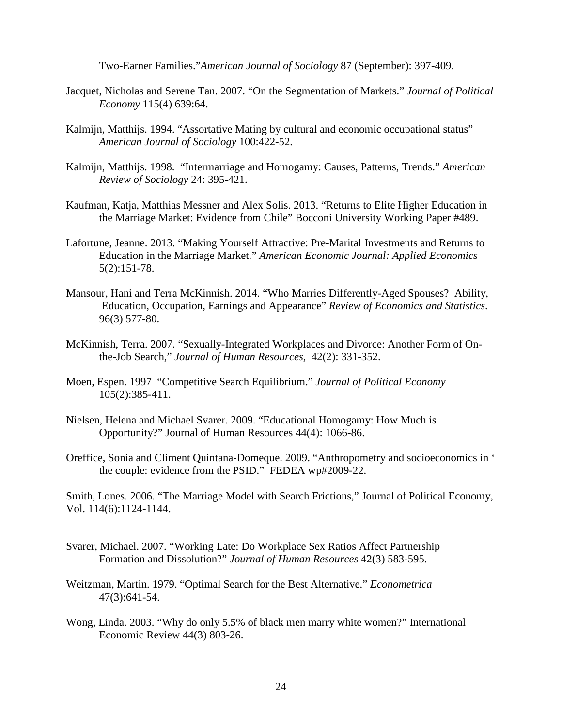Two-Earner Families."*American Journal of Sociology* 87 (September): 397-409.

- Jacquet, Nicholas and Serene Tan. 2007. "On the Segmentation of Markets." *Journal of Political Economy* 115(4) 639:64.
- Kalmijn, Matthijs. 1994. "Assortative Mating by cultural and economic occupational status" *American Journal of Sociology* 100:422-52.
- Kalmijn, Matthijs. 1998. "Intermarriage and Homogamy: Causes, Patterns, Trends." *American Review of Sociology* 24: 395-421.
- Kaufman, Katja, Matthias Messner and Alex Solis. 2013. "Returns to Elite Higher Education in the Marriage Market: Evidence from Chile" Bocconi University Working Paper #489.
- Lafortune, Jeanne. 2013. "Making Yourself Attractive: Pre-Marital Investments and Returns to Education in the Marriage Market." *American Economic Journal: Applied Economics* 5(2):151-78.
- Mansour, Hani and Terra McKinnish. 2014. "Who Marries Differently-Aged Spouses? Ability, Education, Occupation, Earnings and Appearance" *Review of Economics and Statistics*. 96(3) 577-80.
- McKinnish, Terra. 2007. "Sexually-Integrated Workplaces and Divorce: Another Form of Onthe-Job Search," *Journal of Human Resources,* 42(2): 331-352.
- Moen, Espen. 1997 "Competitive Search Equilibrium." *Journal of Political Economy* 105(2):385-411.
- Nielsen, Helena and Michael Svarer. 2009. "Educational Homogamy: How Much is Opportunity?" Journal of Human Resources 44(4): 1066-86.
- Oreffice, Sonia and Climent Quintana-Domeque. 2009. "Anthropometry and socioeconomics in ' the couple: evidence from the PSID." FEDEA wp#2009-22.

Smith, Lones. 2006. "The Marriage Model with Search Frictions," Journal of Political Economy, Vol. 114(6):1124-1144.

- Svarer, Michael. 2007. "Working Late: Do Workplace Sex Ratios Affect Partnership Formation and Dissolution?" *Journal of Human Resources* 42(3) 583-595.
- Weitzman, Martin. 1979. "Optimal Search for the Best Alternative." *Econometrica* 47(3):641-54.
- Wong, Linda. 2003. "Why do only 5.5% of black men marry white women?" International Economic Review 44(3) 803-26.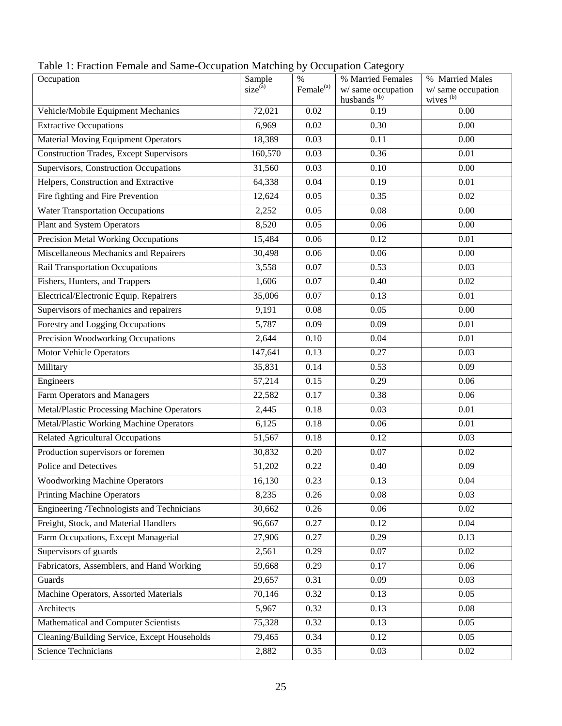| ÷<br>Occupation                                   | Sample<br>size <sup>(a)</sup> | $\%$<br>Female <sup>(a)</sup> | % Married Females<br>w/ same occupation<br>husbands <sup>(b)</sup> | % Married Males<br>w/ same occupation<br>wives <sup>(b)</sup> |
|---------------------------------------------------|-------------------------------|-------------------------------|--------------------------------------------------------------------|---------------------------------------------------------------|
| Vehicle/Mobile Equipment Mechanics                | 72,021                        | 0.02                          | 0.19                                                               | 0.00                                                          |
| <b>Extractive Occupations</b>                     | 6,969                         | 0.02                          | 0.30                                                               | 0.00                                                          |
| Material Moving Equipment Operators               | 18,389                        | 0.03                          | 0.11                                                               | 0.00                                                          |
| <b>Construction Trades, Except Supervisors</b>    | 160,570                       | 0.03                          | 0.36                                                               | 0.01                                                          |
| Supervisors, Construction Occupations             | 31,560                        | 0.03                          | 0.10                                                               | 0.00                                                          |
| Helpers, Construction and Extractive              | 64,338                        | 0.04                          | 0.19                                                               | 0.01                                                          |
| Fire fighting and Fire Prevention                 | 12,624                        | 0.05                          | 0.35                                                               | 0.02                                                          |
| <b>Water Transportation Occupations</b>           | 2,252                         | 0.05                          | 0.08                                                               | 0.00                                                          |
| Plant and System Operators                        | 8,520                         | 0.05                          | 0.06                                                               | 0.00                                                          |
| <b>Precision Metal Working Occupations</b>        | 15,484                        | 0.06                          | 0.12                                                               | 0.01                                                          |
| Miscellaneous Mechanics and Repairers             | 30,498                        | 0.06                          | 0.06                                                               | 0.00                                                          |
| Rail Transportation Occupations                   | 3,558                         | 0.07                          | 0.53                                                               | 0.03                                                          |
| Fishers, Hunters, and Trappers                    | 1,606                         | 0.07                          | 0.40                                                               | 0.02                                                          |
| Electrical/Electronic Equip. Repairers            | 35,006                        | 0.07                          | 0.13                                                               | 0.01                                                          |
| Supervisors of mechanics and repairers            | 9,191                         | 0.08                          | 0.05                                                               | 0.00                                                          |
| <b>Forestry and Logging Occupations</b>           | 5,787                         | 0.09                          | 0.09                                                               | 0.01                                                          |
| <b>Precision Woodworking Occupations</b>          | 2,644                         | 0.10                          | 0.04                                                               | $\overline{0.01}$                                             |
| <b>Motor Vehicle Operators</b>                    | 147,641                       | 0.13                          | 0.27                                                               | 0.03                                                          |
| Military                                          | 35,831                        | 0.14                          | 0.53                                                               | 0.09                                                          |
| Engineers                                         | 57,214                        | 0.15                          | 0.29                                                               | 0.06                                                          |
| Farm Operators and Managers                       | 22,582                        | 0.17                          | 0.38                                                               | 0.06                                                          |
| <b>Metal/Plastic Processing Machine Operators</b> | 2,445                         | 0.18                          | 0.03                                                               | 0.01                                                          |
| <b>Metal/Plastic Working Machine Operators</b>    | 6,125                         | 0.18                          | 0.06                                                               | 0.01                                                          |
| <b>Related Agricultural Occupations</b>           | 51,567                        | 0.18                          | 0.12                                                               | 0.03                                                          |
| Production supervisors or foremen                 | 30,832                        | 0.20                          | 0.07                                                               | 0.02                                                          |
| Police and Detectives                             | 51,202                        | 0.22                          | 0.40                                                               | 0.09                                                          |
| <b>Woodworking Machine Operators</b>              | 16,130                        | 0.23                          | 0.13                                                               | 0.04                                                          |
| <b>Printing Machine Operators</b>                 | 8,235                         | 0.26                          | 0.08                                                               | 0.03                                                          |
| Engineering /Technologists and Technicians        | 30,662                        | 0.26                          | 0.06                                                               | 0.02                                                          |
| Freight, Stock, and Material Handlers             | 96,667                        | 0.27                          | 0.12                                                               | 0.04                                                          |
| Farm Occupations, Except Managerial               | 27,906                        | 0.27                          | 0.29                                                               | 0.13                                                          |
| Supervisors of guards                             | 2,561                         | 0.29                          | 0.07                                                               | 0.02                                                          |
| Fabricators, Assemblers, and Hand Working         | 59,668                        | 0.29                          | 0.17                                                               | 0.06                                                          |
| Guards                                            | 29,657                        | 0.31                          | 0.09                                                               | 0.03                                                          |
| Machine Operators, Assorted Materials             | 70,146                        | 0.32                          | 0.13                                                               | 0.05                                                          |
| Architects                                        | 5,967                         | 0.32                          | 0.13                                                               | 0.08                                                          |
| Mathematical and Computer Scientists              | 75,328                        | 0.32                          | 0.13                                                               | 0.05                                                          |
| Cleaning/Building Service, Except Households      | 79,465                        | 0.34                          | 0.12                                                               | 0.05                                                          |
| <b>Science Technicians</b>                        | 2,882                         | 0.35                          | 0.03                                                               | 0.02                                                          |

Table 1: Fraction Female and Same-Occupation Matching by Occupation Category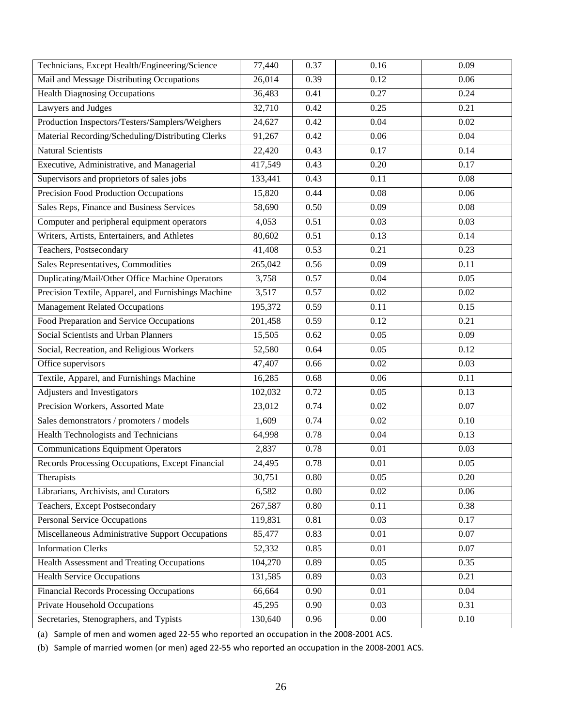| Technicians, Except Health/Engineering/Science      | 77,440  | 0.37 | 0.16              | 0.09              |
|-----------------------------------------------------|---------|------|-------------------|-------------------|
| Mail and Message Distributing Occupations           | 26,014  | 0.39 | 0.12              | 0.06              |
| <b>Health Diagnosing Occupations</b>                | 36,483  | 0.41 | 0.27              | 0.24              |
| Lawyers and Judges                                  | 32,710  | 0.42 | 0.25              | 0.21              |
| Production Inspectors/Testers/Samplers/Weighers     | 24,627  | 0.42 | 0.04              | 0.02              |
| Material Recording/Scheduling/Distributing Clerks   | 91,267  | 0.42 | 0.06              | 0.04              |
| <b>Natural Scientists</b>                           | 22,420  | 0.43 | 0.17              | 0.14              |
| Executive, Administrative, and Managerial           | 417,549 | 0.43 | 0.20              | 0.17              |
| Supervisors and proprietors of sales jobs           | 133,441 | 0.43 | 0.11              | $\overline{0.08}$ |
| Precision Food Production Occupations               | 15,820  | 0.44 | 0.08              | 0.06              |
| Sales Reps, Finance and Business Services           | 58,690  | 0.50 | 0.09              | 0.08              |
| Computer and peripheral equipment operators         | 4,053   | 0.51 | 0.03              | 0.03              |
| Writers, Artists, Entertainers, and Athletes        | 80,602  | 0.51 | 0.13              | 0.14              |
| Teachers, Postsecondary                             | 41,408  | 0.53 | 0.21              | 0.23              |
| Sales Representatives, Commodities                  | 265,042 | 0.56 | 0.09              | 0.11              |
| Duplicating/Mail/Other Office Machine Operators     | 3,758   | 0.57 | 0.04              | 0.05              |
| Precision Textile, Apparel, and Furnishings Machine | 3,517   | 0.57 | 0.02              | 0.02              |
| <b>Management Related Occupations</b>               | 195,372 | 0.59 | 0.11              | 0.15              |
| Food Preparation and Service Occupations            | 201,458 | 0.59 | 0.12              | 0.21              |
| Social Scientists and Urban Planners                | 15,505  | 0.62 | 0.05              | 0.09              |
| Social, Recreation, and Religious Workers           | 52,580  | 0.64 | 0.05              | 0.12              |
| Office supervisors                                  | 47,407  | 0.66 | 0.02              | 0.03              |
| Textile, Apparel, and Furnishings Machine           | 16,285  | 0.68 | 0.06              | 0.11              |
| Adjusters and Investigators                         | 102,032 | 0.72 | 0.05              | 0.13              |
| Precision Workers, Assorted Mate                    | 23,012  | 0.74 | $0.02\,$          | 0.07              |
| Sales demonstrators / promoters / models            | 1,609   | 0.74 | 0.02              | 0.10              |
| <b>Health Technologists and Technicians</b>         | 64,998  | 0.78 | $\overline{0.04}$ | 0.13              |
| <b>Communications Equipment Operators</b>           | 2,837   | 0.78 | 0.01              | 0.03              |
| Records Processing Occupations, Except Financial    | 24,495  | 0.78 | 0.01              | 0.05              |
| Therapists                                          | 30,751  | 0.80 | 0.05              | 0.20              |
| Librarians, Archivists, and Curators                | 6,582   | 0.80 | 0.02              | 0.06              |
| Teachers, Except Postsecondary                      | 267,587 | 0.80 | 0.11              | 0.38              |
| <b>Personal Service Occupations</b>                 | 119,831 | 0.81 | 0.03              | 0.17              |
| Miscellaneous Administrative Support Occupations    | 85,477  | 0.83 | 0.01              | 0.07              |
| <b>Information Clerks</b>                           | 52,332  | 0.85 | 0.01              | 0.07              |
| <b>Health Assessment and Treating Occupations</b>   | 104,270 | 0.89 | 0.05              | 0.35              |
| <b>Health Service Occupations</b>                   | 131,585 | 0.89 | 0.03              | 0.21              |
| <b>Financial Records Processing Occupations</b>     | 66,664  | 0.90 | 0.01              | 0.04              |
| Private Household Occupations                       | 45,295  | 0.90 | 0.03              | 0.31              |
| Secretaries, Stenographers, and Typists             | 130,640 | 0.96 | $0.00\,$          | 0.10              |

(a) Sample of men and women aged 22-55 who reported an occupation in the 2008-2001 ACS.

(b) Sample of married women (or men) aged 22-55 who reported an occupation in the 2008-2001 ACS.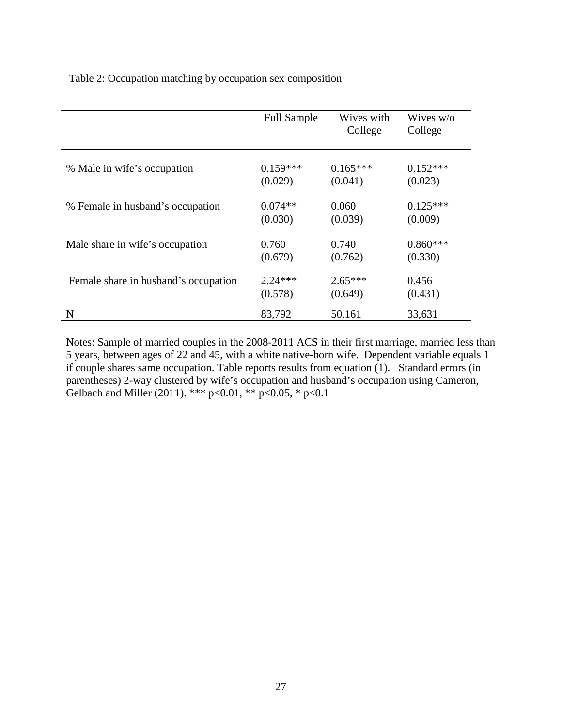Table 2: Occupation matching by occupation sex composition

|                                      | <b>Full Sample</b> | Wives with<br>College | Wives $w$ /0<br>College |
|--------------------------------------|--------------------|-----------------------|-------------------------|
| % Male in wife's occupation          | $0.159***$         | $0.165***$            | $0.152***$              |
|                                      | (0.029)            | (0.041)               | (0.023)                 |
| % Female in husband's occupation     | $0.074**$          | 0.060                 | $0.125***$              |
|                                      | (0.030)            | (0.039)               | (0.009)                 |
| Male share in wife's occupation      | 0.760              | 0.740                 | $0.860***$              |
|                                      | (0.679)            | (0.762)               | (0.330)                 |
| Female share in husband's occupation | $2.24***$          | $2.65***$             | 0.456                   |
|                                      | (0.578)            | (0.649)               | (0.431)                 |
| N                                    | 83,792             | 50,161                | 33,631                  |

Notes: Sample of married couples in the 2008-2011 ACS in their first marriage, married less than 5 years, between ages of 22 and 45, with a white native-born wife. Dependent variable equals 1 if couple shares same occupation. Table reports results from equation (1). Standard errors (in parentheses) 2-way clustered by wife's occupation and husband's occupation using Cameron, Gelbach and Miller (2011). \*\*\*  $p<0.01$ , \*\*  $p<0.05$ , \*  $p<0.1$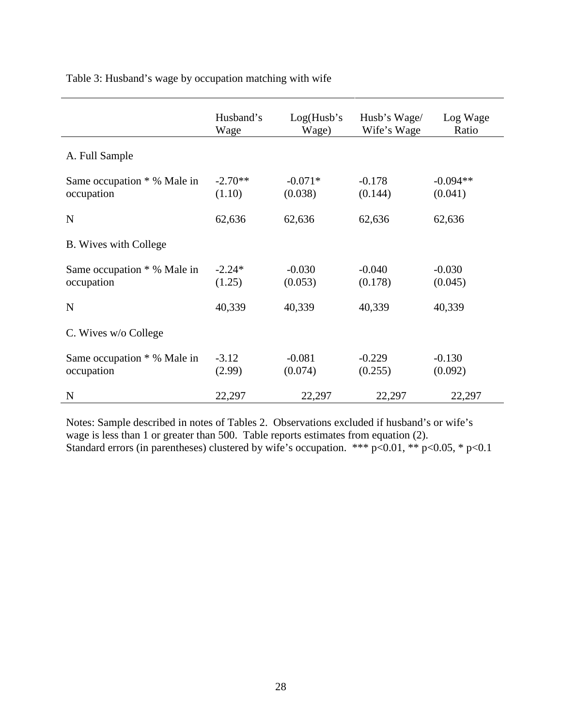Table 3: Husband's wage by occupation matching with wife

|                                           | Husband's<br>Wage   | Log(Husb's)<br>Wage) | Husb's Wage/<br>Wife's Wage | Log Wage<br>Ratio     |
|-------------------------------------------|---------------------|----------------------|-----------------------------|-----------------------|
| A. Full Sample                            |                     |                      |                             |                       |
| Same occupation * % Male in<br>occupation | $-2.70**$<br>(1.10) | $-0.071*$<br>(0.038) | $-0.178$<br>(0.144)         | $-0.094**$<br>(0.041) |
| N                                         | 62,636              | 62,636               | 62,636                      | 62,636                |
| B. Wives with College                     |                     |                      |                             |                       |
| Same occupation * % Male in<br>occupation | $-2.24*$<br>(1.25)  | $-0.030$<br>(0.053)  | $-0.040$<br>(0.178)         | $-0.030$<br>(0.045)   |
| N                                         | 40,339              | 40,339               | 40,339                      | 40,339                |
| C. Wives w/o College                      |                     |                      |                             |                       |
| Same occupation * % Male in<br>occupation | $-3.12$<br>(2.99)   | $-0.081$<br>(0.074)  | $-0.229$<br>(0.255)         | $-0.130$<br>(0.092)   |
| N                                         | 22,297              | 22,297               | 22,297                      | 22,297                |

Notes: Sample described in notes of Tables 2. Observations excluded if husband's or wife's wage is less than 1 or greater than 500. Table reports estimates from equation (2). Standard errors (in parentheses) clustered by wife's occupation. \*\*\* p<0.01, \*\* p<0.05, \* p<0.1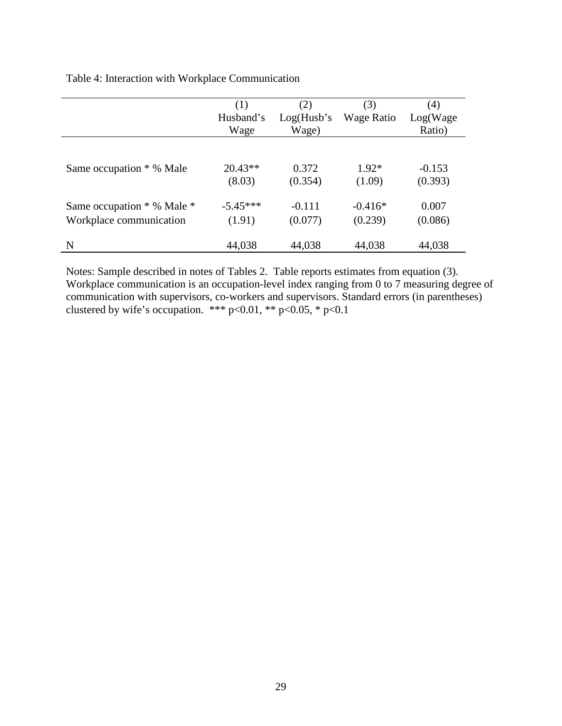Table 4: Interaction with Workplace Communication

|                            | (1)<br>Husband's<br>Wage | (2)<br>Log(Husb's)<br>Wage) | (3)<br>Wage Ratio | (4)<br>Log(Wage)<br>Ratio) |
|----------------------------|--------------------------|-----------------------------|-------------------|----------------------------|
| Same occupation * % Male   | $20.43**$                | 0.372                       | $1.92*$           | $-0.153$                   |
|                            | (8.03)                   | (0.354)                     | (1.09)            | (0.393)                    |
| Same occupation * % Male * | $-5.45***$               | $-0.111$                    | $-0.416*$         | 0.007                      |
| Workplace communication    | (1.91)                   | (0.077)                     | (0.239)           | (0.086)                    |
| N                          | 44,038                   | 44,038                      | 44,038            | 44,038                     |

Notes: Sample described in notes of Tables 2. Table reports estimates from equation (3). Workplace communication is an occupation-level index ranging from 0 to 7 measuring degree of communication with supervisors, co-workers and supervisors. Standard errors (in parentheses) clustered by wife's occupation. \*\*\* p<0.01, \*\* p<0.05, \* p<0.1